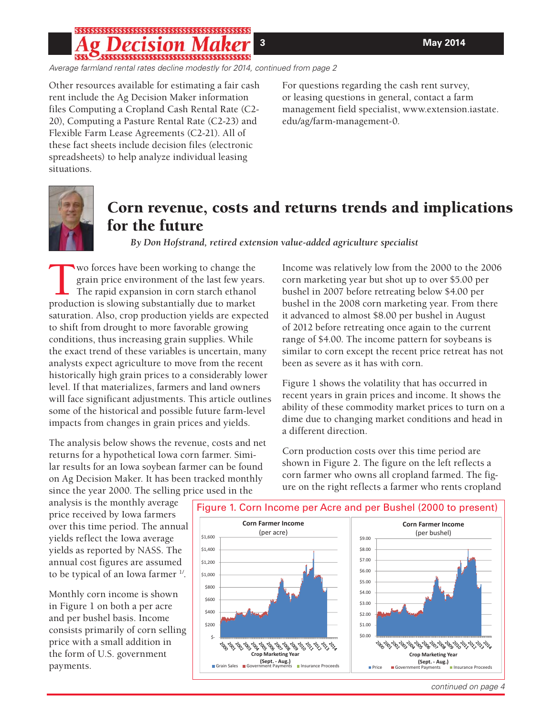# \$\$\$\$\$\$\$\$\$\$\$\$\$\$\$\$\$\$\$\$\$\$\$\$\$\$\$\$\$\$\$\$\$\$\$\$\$\$

*Average farmland rental rates decline modestly for 2014, continued from page 2*

Other resources available for estimating a fair cash rent include the Ag Decision Maker information files Computing a Cropland Cash Rental Rate (C2- 20), Computing a Pasture Rental Rate (C2-23) and Flexible Farm Lease Agreements (C2-21). All of these fact sheets include decision files (electronic spreadsheets) to help analyze individual leasing situations.

For questions regarding the cash rent survey, or leasing questions in general, contact a farm management field specialist, www.extension.iastate. edu/ag/farm-management-0.



# **Corn revenue, costs and returns trends and implications for the future**

*By Don Hofstrand, retired extension value-added agriculture specialist*

Two forces have been working to change the<br>grain price environment of the last few year<br>The rapid expansion in corn starch ethanol<br>production is slowing substantially due to market grain price environment of the last few years. The rapid expansion in corn starch ethanol production is slowing substantially due to market saturation. Also, crop production yields are expected to shift from drought to more favorable growing conditions, thus increasing grain supplies. While the exact trend of these variables is uncertain, many analysts expect agriculture to move from the recent historically high grain prices to a considerably lower level. If that materializes, farmers and land owners will face significant adjustments. This article outlines some of the historical and possible future farm-level impacts from changes in grain prices and yields.

The analysis below shows the revenue, costs and net returns for a hypothetical Iowa corn farmer. Similar results for an Iowa soybean farmer can be found on Ag Decision Maker. It has been tracked monthly since the year 2000. The selling price used in the

Income was relatively low from the 2000 to the 2006 corn marketing year but shot up to over \$5.00 per bushel in 2007 before retreating below \$4.00 per bushel in the 2008 corn marketing year. From there it advanced to almost \$8.00 per bushel in August of 2012 before retreating once again to the current range of \$4.00. The income pattern for soybeans is similar to corn except the recent price retreat has not been as severe as it has with corn.

Figure 1 shows the volatility that has occurred in recent years in grain prices and income. It shows the ability of these commodity market prices to turn on a dime due to changing market conditions and head in a different direction.

Corn production costs over this time period are shown in Figure 2. The figure on the left reflects a corn farmer who owns all cropland farmed. The figure on the right reflects a farmer who rents cropland

analysis is the monthly average price received by Iowa farmers over this time period. The annual yields reflect the Iowa average yields as reported by NASS. The annual cost figures are assumed to be typical of an Iowa farmer  $\frac{1}{1}$ .

Monthly corn income is shown in Figure 1 on both a per acre and per bushel basis. Income consists primarily of corn selling price with a small addition in the form of U.S. government payments.



*continued on page 4*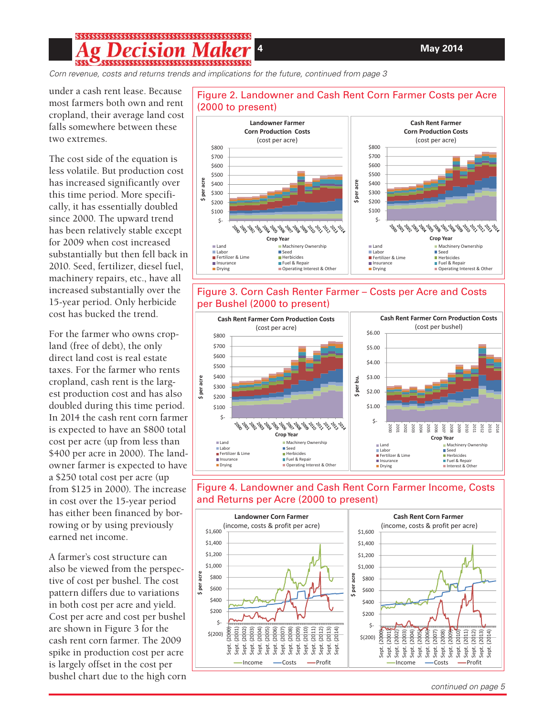**4****May 2014**

#### **ecision Ma**

*Corn revenue, costs and returns trends and implications for the future, continued from page 3*

under a cash rent lease. Because most farmers both own and rent cropland, their average land cost falls somewhere between these two extremes.

The cost side of the equation is less volatile. But production cost has increased significantly over this time period. More specifically, it has essentially doubled since 2000. The upward trend has been relatively stable except for 2009 when cost increased substantially but then fell back in 2010. Seed, fertilizer, diesel fuel, machinery repairs, etc., have all increased substantially over the 15-year period. Only herbicide cost has bucked the trend.

For the farmer who owns cropland (free of debt), the only direct land cost is real estate taxes. For the farmer who rents cropland, cash rent is the largest production cost and has also doubled during this time period. In 2014 the cash rent corn farmer is expected to have an \$800 total cost per acre (up from less than \$400 per acre in 2000). The landowner farmer is expected to have a \$250 total cost per acre (up from \$125 in 2000). The increase in cost over the 15-year period has either been financed by borrowing or by using previously earned net income.

A farmer's cost structure can also be viewed from the perspective of cost per bushel. The cost pattern differs due to variations in both cost per acre and yield. Cost per acre and cost per bushel are shown in Figure 3 for the cash rent corn farmer. The 2009 spike in production cost per acre is largely offset in the cost per bushel chart due to the high corn



#### Figure 2. Landowner and Cash Rent Corn Farmer Costs per Acre (2000 to present)







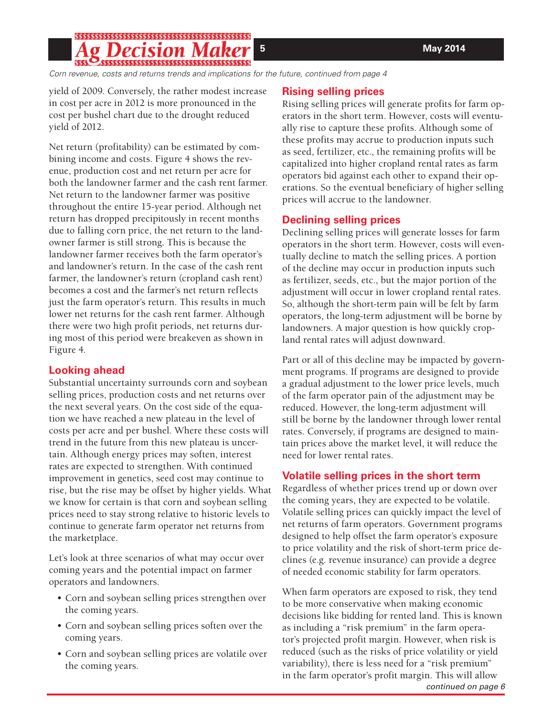## **g Decision Ma**

*Corn revenue, costs and returns trends and implications for the future, continued from page 4*

yield of 2009. Conversely, the rather modest increase in cost per acre in 2012 is more pronounced in the cost per bushel chart due to the drought reduced yield of 2012.

Net return (profitability) can be estimated by combining income and costs. Figure 4 shows the revenue, production cost and net return per acre for both the landowner farmer and the cash rent farmer. Net return to the landowner farmer was positive throughout the entire 15-year period. Although net return has dropped precipitously in recent months due to falling corn price, the net return to the landowner farmer is still strong. This is because the landowner farmer receives both the farm operator's and landowner's return. In the case of the cash rent farmer, the landowner's return (cropland cash rent) becomes a cost and the farmer's net return reflects just the farm operator's return. This results in much lower net returns for the cash rent farmer. Although there were two high profit periods, net returns during most of this period were breakeven as shown in Figure 4.

#### **Looking ahead**

Substantial uncertainty surrounds corn and soybean selling prices, production costs and net returns over the next several years. On the cost side of the equation we have reached a new plateau in the level of costs per acre and per bushel. Where these costs will trend in the future from this new plateau is uncertain. Although energy prices may soften, interest rates are expected to strengthen. With continued improvement in genetics, seed cost may continue to rise, but the rise may be offset by higher yields. What we know for certain is that corn and soybean selling prices need to stay strong relative to historic levels to continue to generate farm operator net returns from the marketplace.

Let's look at three scenarios of what may occur over coming years and the potential impact on farmer operators and landowners.

- Corn and soybean selling prices strengthen over the coming years.
- Corn and soybean selling prices soften over the coming years.
- Corn and soybean selling prices are volatile over the coming years.

## **Rising selling prices**

Rising selling prices will generate profits for farm operators in the short term. However, costs will eventually rise to capture these profits. Although some of these profits may accrue to production inputs such as seed, fertilizer, etc., the remaining profits will be capitalized into higher cropland rental rates as farm operators bid against each other to expand their operations. So the eventual beneficiary of higher selling prices will accrue to the landowner.

## **Declining selling prices**

Declining selling prices will generate losses for farm operators in the short term. However, costs will eventually decline to match the selling prices. A portion of the decline may occur in production inputs such as fertilizer, seeds, etc., but the major portion of the adjustment will occur in lower cropland rental rates. So, although the short-term pain will be felt by farm operators, the long-term adjustment will be borne by landowners. A major question is how quickly cropland rental rates will adjust downward.

Part or all of this decline may be impacted by government programs. If programs are designed to provide a gradual adjustment to the lower price levels, much of the farm operator pain of the adjustment may be reduced. However, the long-term adjustment will still be borne by the landowner through lower rental rates. Conversely, if programs are designed to maintain prices above the market level, it will reduce the need for lower rental rates.

## **Volatile selling prices in the short term**

Regardless of whether prices trend up or down over the coming years, they are expected to be volatile. Volatile selling prices can quickly impact the level of net returns of farm operators. Government programs designed to help offset the farm operator's exposure to price volatility and the risk of short-term price declines (e.g. revenue insurance) can provide a degree of needed economic stability for farm operators.

*continued on page 6* When farm operators are exposed to risk, they tend to be more conservative when making economic decisions like bidding for rented land. This is known as including a "risk premium" in the farm operator's projected profit margin. However, when risk is reduced (such as the risks of price volatility or yield variability), there is less need for a "risk premium" in the farm operator's profit margin. This will allow